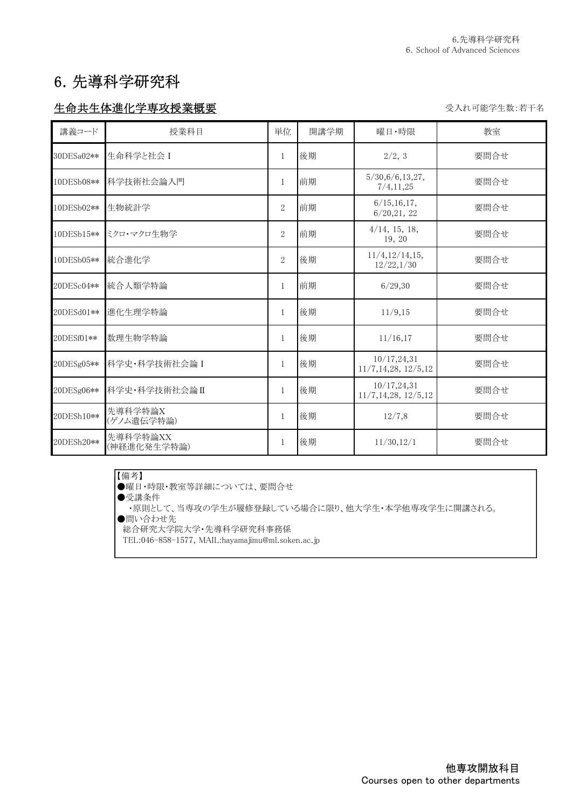# 6.先導科学研究科

### 生命共生体進化学専攻授業概要 マインスタイム マインストランス エンジェン ディルマン 受入れ可能学生数:若干名

| 講義コード      | 授業科目                    | 単位             | 開講学期 | 曜日・時限                                   | 教室   |
|------------|-------------------------|----------------|------|-----------------------------------------|------|
| 30DESa02** | 生命科学と社会 I               | $\mathbf{1}$   | 後期   | 2/2, 3                                  | 要問合せ |
| 10DESb08** | 科学技術社会論入門               | $\mathbf{1}$   | 前期   | 5/30,6/6,13,27,<br>7/4, 11, 25          | 要問合せ |
| 10DESb02** | 生物統計学                   | $\overline{2}$ | 前期   | 6/15, 16, 17,<br>6/20, 21, 22           | 要問合せ |
| 10DESb15** | ミクロ・マクロ生物学              | $\overline{2}$ | 前期   | $4/14$ , 15, 18,<br>19, 20              | 要問合せ |
| 10DESb05** | 統合進化学                   | $\overline{2}$ | 後期   | 11/4, 12/14, 15,<br>12/22,1/30          | 要問合せ |
| 20DESc04** | 統合人類学特論                 | $\mathbf{1}$   | 前期   | 6/29.30                                 | 要問合せ |
| 20DESd01** | 進化生理学特論                 | $\mathbf{1}$   | 後期   | 11/9,15                                 | 要問合せ |
| 20DESf01** | 数理生物学特論                 | $\mathbf{1}$   | 後期   | 11/16,17                                | 要問合せ |
| 20DESg05** | 科学史·科学技術社会論 I           | $\mathbf{1}$   | 後期   | 10/17, 24, 31<br>11/7, 14, 28, 12/5, 12 | 要問合せ |
| 20DESg06** | 科学史·科学技術社会論II           | $\mathbf{1}$   | 後期   | 10/17, 24, 31<br>11/7, 14, 28, 12/5, 12 | 要問合せ |
| 20DESh10** | 先導科学特論X<br>(ゲノム遺伝学特論)   | $\mathbf{1}$   | 後期   | 12/7,8                                  | 要問合せ |
| 20DESh20** | 先導科学特論XX<br>(神経進化発生学特論) | $\mathbf{1}$   | 後期   | 11/30, 12/1                             | 要問合せ |

#### 【備考】

-..........<br>●曜日・時限・教室等詳細については、要問合せ ●受講条件 また、また、

- - ..... . . . .<br>•原則として、当専攻の学生が履修登録している場合に限り、他大学生・本学他専攻学生に開講される。

●問い合わせ先

総合研究大学院大学・先導科学研究科事務係

TEL:046-858-1577, MAIL:hayamajimu@ml.soken.ac.jp